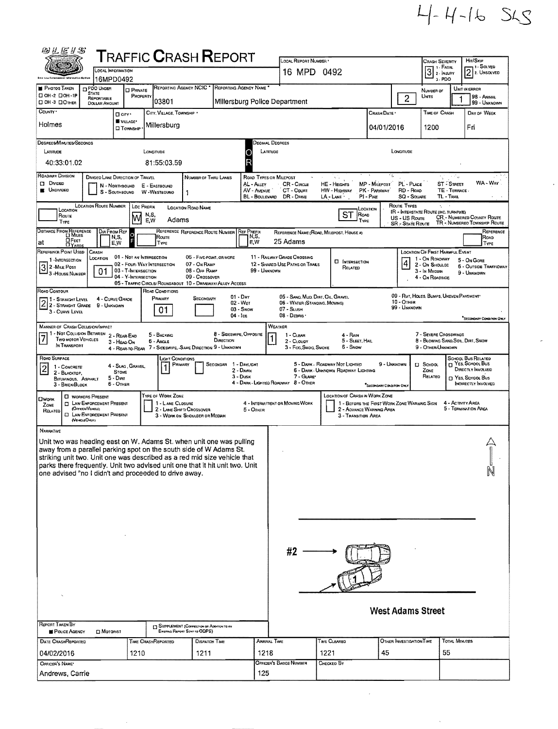|  |  |  | $4 - 4 - 16$ SLS |
|--|--|--|------------------|
|--|--|--|------------------|

| 的汇运》S                                                                                                                                                                                                                                                                                                                                                                                                                                                                                                                             |                                                                                                                                                                                                                          |                                  | <b>TRAFFIC CRASH REPORT</b>                                                     |                                                                             |                                      |                   | LOCAL REPORT NUMBER                             |                                                                              |                                             |                          |                                                              |                             | Hit/SkiP                                                    |
|-----------------------------------------------------------------------------------------------------------------------------------------------------------------------------------------------------------------------------------------------------------------------------------------------------------------------------------------------------------------------------------------------------------------------------------------------------------------------------------------------------------------------------------|--------------------------------------------------------------------------------------------------------------------------------------------------------------------------------------------------------------------------|----------------------------------|---------------------------------------------------------------------------------|-----------------------------------------------------------------------------|--------------------------------------|-------------------|-------------------------------------------------|------------------------------------------------------------------------------|---------------------------------------------|--------------------------|--------------------------------------------------------------|-----------------------------|-------------------------------------------------------------|
|                                                                                                                                                                                                                                                                                                                                                                                                                                                                                                                                   |                                                                                                                                                                                                                          | OCAL INFORMATION                 |                                                                                 |                                                                             |                                      |                   | 16 MPD 0492                                     |                                                                              |                                             |                          | <b>CRASH SEVERITY</b><br>3 <sup>1. F</sup> ATAL<br>2. Inuary |                             | - 1 - SOLVED<br>$\overline{2}$ 2. UNSOLVED                  |
| <b>PHOTOS TAKEN</b>                                                                                                                                                                                                                                                                                                                                                                                                                                                                                                               | PDO UNDER                                                                                                                                                                                                                | 16MPD0492<br><b>D</b> PRIVATE    |                                                                                 | REPORTING AGENCY NCIC * REPORTING AGENCY NAME                               |                                      |                   |                                                 |                                                                              |                                             |                          | 3. PDO<br>NUMBER OF                                          |                             | UNIT IN ERROR                                               |
| □ ОН-2 □ ОН-1Р<br>□ OH -3 □ OTHER                                                                                                                                                                                                                                                                                                                                                                                                                                                                                                 | <b>STATE</b><br>REPORTABLE<br><b>DOLLAR AMOUNT</b>                                                                                                                                                                       | PROPERTY                         | 03801                                                                           |                                                                             |                                      |                   | Millersburg Police Department                   |                                                                              | $\overline{c}$                              | UNITS                    |                                                              | 98 - ANIMAL<br>99 - UNKNOWN |                                                             |
| COUNTY '                                                                                                                                                                                                                                                                                                                                                                                                                                                                                                                          |                                                                                                                                                                                                                          | <b>O</b> city .                  | CITY, VILLAGE, TOWNSHIP .                                                       |                                                                             |                                      |                   |                                                 |                                                                              | Crash Date *                                |                          | <b>TIME OF CRASH</b>                                         |                             | DAY OF WEEK                                                 |
| Holmes                                                                                                                                                                                                                                                                                                                                                                                                                                                                                                                            |                                                                                                                                                                                                                          | VILLAGE*<br><b>D</b> TOWNSHIP    | Millersburg                                                                     |                                                                             |                                      |                   |                                                 |                                                                              | 04/01/2016                                  |                          | 1200                                                         |                             | Fri                                                         |
| DEGREES/MINUTES/SECONDS<br>Decimal Degrees                                                                                                                                                                                                                                                                                                                                                                                                                                                                                        |                                                                                                                                                                                                                          |                                  |                                                                                 |                                                                             |                                      |                   |                                                 |                                                                              |                                             |                          |                                                              |                             |                                                             |
| LATITUDE                                                                                                                                                                                                                                                                                                                                                                                                                                                                                                                          |                                                                                                                                                                                                                          |                                  | LONGITUDE                                                                       |                                                                             |                                      | LATTUDE<br>О      |                                                 |                                                                              |                                             | LONGITUDE                |                                                              |                             |                                                             |
| 40:33:01.02<br>ROADWAY DIVISION                                                                                                                                                                                                                                                                                                                                                                                                                                                                                                   |                                                                                                                                                                                                                          |                                  | 81:55:03.59                                                                     |                                                                             |                                      | R                 |                                                 |                                                                              | w                                           |                          |                                                              |                             |                                                             |
| DIVIDED LANE DIRECTION OF TRAVEL<br>ていぐん<br>NUMBER OF THRU LANES<br><b>ROAD TYPES OR MILEPOST</b><br>$\mathcal{H}^{\pm}$ and<br>$\square$ Divided<br>PL - PLACE<br><b>ST</b> STREET<br>AL - ALLEY<br>CR-CIRCLE<br>MP - Milepost<br><b>HE-HEIGHTS</b><br>N - NORTHBOUND<br>E - EASTBOUND<br><b>UNDIVIDED</b><br>AV - AVENUE<br>CT - Count<br>HW - HIGHWAY<br>PK - PARKWAY<br>RD - ROAD<br>TE - TERRACE<br>S - SOUTHBOUND<br>W WESTBOUND<br>1<br>DR - DRIVE<br>SQ - SQUARE<br>BL - BOULEVARD<br>PI-PIKE<br>TL - TRAL<br>LA - LANE - |                                                                                                                                                                                                                          |                                  |                                                                                 |                                                                             |                                      |                   |                                                 |                                                                              |                                             |                          |                                                              |                             | WA-WAY                                                      |
| <b>LOCATION ROUTE NUMBER</b><br>Route Types<br>Loc Prefix<br>A.<br><b>LOCATION ROAD NAME</b><br>LOCATION<br>LOCATION<br>IR - INTERSTATE ROUTE (INC. TURNPINE)<br>ROAD<br>N,S,                                                                                                                                                                                                                                                                                                                                                     |                                                                                                                                                                                                                          |                                  |                                                                                 |                                                                             |                                      |                   |                                                 |                                                                              |                                             |                          |                                                              |                             |                                                             |
| ST<br>ROUTE<br>M<br><b>CR.</b> - NUMBERED COUNTY ROUTE<br>US - US Route<br>Adams<br>E.W<br>TYPE<br>Түре<br>TR - NUMBEREO TOWNSHIP ROUTE<br><b>SR</b> - State Route                                                                                                                                                                                                                                                                                                                                                                |                                                                                                                                                                                                                          |                                  |                                                                                 |                                                                             |                                      |                   |                                                 |                                                                              |                                             |                          |                                                              |                             |                                                             |
| DISTANCE FROM REFERENCE<br>DIR FROM REF<br>REFERENCE REFERENCE ROUTE NUMBER<br><b>REF PREFIX</b><br>Reference<br>REFERENCE NAME (ROAD, MILEPOST, HOUSE #)<br>σ<br>N, 5,<br>N,S,<br>Route<br>ROAD<br>OFEET<br>25 Adams<br>E,W<br>'at<br>E,W<br>TYPE<br>TYPE                                                                                                                                                                                                                                                                        |                                                                                                                                                                                                                          |                                  |                                                                                 |                                                                             |                                      |                   |                                                 |                                                                              |                                             |                          |                                                              |                             |                                                             |
| <b>UYARDS</b><br>REFERENCE POINT USED                                                                                                                                                                                                                                                                                                                                                                                                                                                                                             | CRASH<br>LOCATION                                                                                                                                                                                                        | 01 - Not an Intersection         |                                                                                 | 06 - Five-POINT, OR MORE                                                    |                                      |                   | 11 - RAILWAY GRADE CROSSING                     |                                                                              |                                             |                          | <b>LOCATION OF FIRST HARMFUL EVENT</b>                       |                             |                                                             |
| 1 -INTERSECTION<br>$32$ -Mue Post                                                                                                                                                                                                                                                                                                                                                                                                                                                                                                 | 01                                                                                                                                                                                                                       | 03 - T-INTERSECTION              | 02 - FOUR-WAY INTERSECTION                                                      | 07 - On Ramp<br>08 - OFF RAMP                                               |                                      | 99 - UNKNOWN      | 12 - SHARED-USE PATHS OR TRAILS                 | <b>CI INTERSECTION</b><br>RELATED                                            |                                             | $\vert 4 \vert$          | 1 - On ROADWAY<br>2 - On Shoulde<br>3 - In Median            |                             | 5 - On Gore<br><b>6 - OUTSIDE TRAFFICWAY</b><br>9 - UNKNOWN |
| 3 - HOUSE NUMBER                                                                                                                                                                                                                                                                                                                                                                                                                                                                                                                  |                                                                                                                                                                                                                          | 04 - Y-Intersection              | 05 - TRAFFIC CIRCLE/ ROUNDABOUT 10 - DRIVEWAY/ ALLEY ACCESS                     | 09 - Crossover                                                              |                                      |                   |                                                 |                                                                              |                                             |                          | 4 - On ROADSIDE                                              |                             |                                                             |
| ROAD CONTOUR<br>1 - Straight Level                                                                                                                                                                                                                                                                                                                                                                                                                                                                                                |                                                                                                                                                                                                                          |                                  | ROAD CONDITIONS<br>PRIMARY                                                      | SECONOARY                                                                   |                                      | $01 - \text{Dry}$ |                                                 | 05 - SANO, MUD, DIRT, OIL, GRAVEL                                            |                                             |                          | 09 - Rut, HOLES, BUMPS, UNEVEN PAVEMENT*                     |                             |                                                             |
|                                                                                                                                                                                                                                                                                                                                                                                                                                                                                                                                   | 4 - CURVE GRADE<br>2 2 - STRAIGHT LEVEL 4 - CURVE CH<br>10 - Отнев<br>02 - Wet<br>06 - WATER (STANOING, MOVING)<br>99 - Unknown<br>07 - SLUSH<br>03 - Snow<br>01<br>3 - CURVE LEVEL<br>08 - Deanis -<br>$04 - \text{lc}$ |                                  |                                                                                 |                                                                             |                                      |                   |                                                 |                                                                              |                                             |                          |                                                              |                             |                                                             |
| <b>MANNER OF CRASH COLUSION/IMPACT</b>                                                                                                                                                                                                                                                                                                                                                                                                                                                                                            |                                                                                                                                                                                                                          |                                  |                                                                                 |                                                                             |                                      |                   | WEATHER                                         |                                                                              |                                             |                          |                                                              |                             | "SECONDARY CONDITION CHILY                                  |
| 1 - NOT COLLISION BETWEEN<br>$\overline{7}$<br><b>Two MOTOR VEHICLES</b><br>IN TRANSPORT                                                                                                                                                                                                                                                                                                                                                                                                                                          |                                                                                                                                                                                                                          | 2 - REAR-END<br>3 - HEAD-ON      | 5 - BACKING<br>6 - Angle                                                        |                                                                             | 8 - Sideswipe, Opposite<br>DIRECTION |                   | $1 - C$ LEAR<br>2 - CLOUDY                      | 4 - RAIN<br>5 - SLEET, HAIL                                                  |                                             |                          | 7 - SEVERE CROSSWINDS<br>8 - Blowing Sand, Sol, Dirt, Snow   |                             |                                                             |
| ROAD SURFACE                                                                                                                                                                                                                                                                                                                                                                                                                                                                                                                      |                                                                                                                                                                                                                          |                                  | 4 - REAR-TO-REAR 7 - SIDESWIPE, -SAME DIRECTION 9 - UNKNOWN<br>Light Conditions |                                                                             |                                      |                   | 3 - Fog, Smog, Smoke                            | 6 - Snow                                                                     |                                             |                          | 9 - Other/Unknown                                            |                             | SCHOOL BUS RELATED                                          |
| $\overline{\mathbf{c}}$<br>1 - CONCRETE<br>2 - BLACKTOP,                                                                                                                                                                                                                                                                                                                                                                                                                                                                          |                                                                                                                                                                                                                          | 4 - SLAG, GRAVEL<br><b>STOME</b> |                                                                                 | PRIMARY                                                                     | SECONDAR 1 - DAYLIGHT                | 2 - DAWN          |                                                 | 5 - DARK - ROADWAY NOT LIGHTED<br><b>6 - DARK - UNKNOWN ROADWAY LIGHTING</b> | 9 - Unknown                                 |                          | <b>D</b> SCHDOL<br>ZONE                                      |                             | <b>LI</b> YES, SCHOOL BUS<br>DIRECTLY INVOLVED              |
| <b>BITUMINOUS, ASPHALT</b><br>3 - BRICK BLOCK                                                                                                                                                                                                                                                                                                                                                                                                                                                                                     |                                                                                                                                                                                                                          | $5 - DIII$<br>$6 -$ OTHER        |                                                                                 |                                                                             |                                      | $3 - D$ usk       | 7 GLARE<br>4 - DARK - LIGHTED ROADWAY 8 - OTHER |                                                                              | "SECONDARY CONDITION ON"                    |                          | RELATED                                                      |                             | T YES, SCHOOL BUS<br><b>INOIRECTLY INVOLVED</b>             |
| <b>OWORK</b><br>ZONE                                                                                                                                                                                                                                                                                                                                                                                                                                                                                                              | <b>CI WORKERS PRESENT</b><br><b>COLLAW ENFORCEMENT PRESENT</b>                                                                                                                                                           |                                  | TYPE OF WORK ZONE<br>1 - LANE CLOSURE                                           |                                                                             |                                      |                   | 4 - INTERMITTENT OR MOVING WORK                 | <b>LOCATION OF CRASH IN WORK ZONE</b>                                        | 1 - BEFORE THE FIRST WORK ZONE WARNING SIGN |                          |                                                              | 4 - ACTIVITY AREA           |                                                             |
| RELATED                                                                                                                                                                                                                                                                                                                                                                                                                                                                                                                           | (OFFICER/VEHICLE)<br><b>CI LAW ENFORCEMENT PRESENT</b><br>(VEHOLEOKLY)                                                                                                                                                   |                                  |                                                                                 | 2 - LANE SHIFT/ CROSSOVER<br>3 - WORK ON SHOULDER OR MEDIAN                 |                                      | $5 -$ OTHER       |                                                 | <b>3 - TRANSITION AREA</b>                                                   | 2 - ADVANCE WARNING AREA                    |                          |                                                              |                             | 5 - TERMINATION AREA                                        |
| NARRATIVE                                                                                                                                                                                                                                                                                                                                                                                                                                                                                                                         |                                                                                                                                                                                                                          |                                  |                                                                                 |                                                                             |                                      |                   |                                                 |                                                                              |                                             |                          |                                                              |                             |                                                             |
| Unit two was heading east on W. Adams St. when unit one was pulling                                                                                                                                                                                                                                                                                                                                                                                                                                                               |                                                                                                                                                                                                                          |                                  |                                                                                 |                                                                             |                                      |                   |                                                 |                                                                              |                                             |                          |                                                              |                             |                                                             |
| away from a parallel parking spot on the south side of W Adams St.<br>striking unit two. Unit one was described as a red mid size vehicle that                                                                                                                                                                                                                                                                                                                                                                                    |                                                                                                                                                                                                                          |                                  |                                                                                 |                                                                             |                                      |                   |                                                 |                                                                              |                                             |                          |                                                              |                             |                                                             |
| parks there frequently. Unit two advised unit one that it hit unit two. Unit<br>one advised "no I didn't and proceeded to drive away.                                                                                                                                                                                                                                                                                                                                                                                             |                                                                                                                                                                                                                          |                                  |                                                                                 |                                                                             |                                      |                   |                                                 |                                                                              |                                             |                          |                                                              |                             | N                                                           |
|                                                                                                                                                                                                                                                                                                                                                                                                                                                                                                                                   |                                                                                                                                                                                                                          |                                  |                                                                                 |                                                                             |                                      |                   |                                                 |                                                                              |                                             |                          |                                                              |                             |                                                             |
|                                                                                                                                                                                                                                                                                                                                                                                                                                                                                                                                   |                                                                                                                                                                                                                          |                                  |                                                                                 |                                                                             |                                      |                   |                                                 |                                                                              |                                             |                          |                                                              |                             |                                                             |
|                                                                                                                                                                                                                                                                                                                                                                                                                                                                                                                                   |                                                                                                                                                                                                                          |                                  |                                                                                 |                                                                             |                                      |                   |                                                 |                                                                              |                                             |                          |                                                              |                             |                                                             |
|                                                                                                                                                                                                                                                                                                                                                                                                                                                                                                                                   |                                                                                                                                                                                                                          |                                  |                                                                                 |                                                                             |                                      |                   |                                                 |                                                                              |                                             |                          |                                                              |                             |                                                             |
|                                                                                                                                                                                                                                                                                                                                                                                                                                                                                                                                   |                                                                                                                                                                                                                          |                                  |                                                                                 |                                                                             |                                      |                   |                                                 |                                                                              |                                             |                          |                                                              |                             |                                                             |
|                                                                                                                                                                                                                                                                                                                                                                                                                                                                                                                                   |                                                                                                                                                                                                                          |                                  |                                                                                 |                                                                             |                                      |                   | #2                                              |                                                                              |                                             |                          |                                                              |                             |                                                             |
|                                                                                                                                                                                                                                                                                                                                                                                                                                                                                                                                   |                                                                                                                                                                                                                          |                                  |                                                                                 |                                                                             |                                      |                   |                                                 |                                                                              |                                             |                          |                                                              |                             |                                                             |
|                                                                                                                                                                                                                                                                                                                                                                                                                                                                                                                                   |                                                                                                                                                                                                                          |                                  |                                                                                 |                                                                             |                                      |                   |                                                 |                                                                              |                                             |                          |                                                              |                             |                                                             |
|                                                                                                                                                                                                                                                                                                                                                                                                                                                                                                                                   |                                                                                                                                                                                                                          |                                  |                                                                                 |                                                                             |                                      |                   |                                                 |                                                                              |                                             |                          |                                                              |                             |                                                             |
|                                                                                                                                                                                                                                                                                                                                                                                                                                                                                                                                   |                                                                                                                                                                                                                          |                                  |                                                                                 |                                                                             |                                      |                   |                                                 |                                                                              | <b>West Adams Street</b>                    |                          |                                                              |                             |                                                             |
| REPORT TAKEN BY<br>POLICE AGENCY                                                                                                                                                                                                                                                                                                                                                                                                                                                                                                  | <b>D</b> Motorist                                                                                                                                                                                                        |                                  |                                                                                 | El SUPPLEMENT (Convection on Adortox TO AN<br>EXISTING REPORT SENT TO ODPS) |                                      |                   |                                                 |                                                                              |                                             |                          |                                                              |                             |                                                             |
| <b>DATE CRASHREPORTED</b>                                                                                                                                                                                                                                                                                                                                                                                                                                                                                                         |                                                                                                                                                                                                                          |                                  | <b>TIME CRASHREPORTED</b>                                                       | <b>DISPATCH TIME</b>                                                        |                                      |                   | ARRIVAL TIME                                    | TIME CLEARED                                                                 |                                             | OTHER INVESTIGATION TIME |                                                              | <b>TOTAL MINUTES</b>        |                                                             |
| 04/02/2016<br>OFFICER'S NAME*                                                                                                                                                                                                                                                                                                                                                                                                                                                                                                     |                                                                                                                                                                                                                          | 1210                             |                                                                                 | 1211                                                                        |                                      | 1218              | OFFICER'S BADGE NUMBER                          | 1221<br>CHECKED BY                                                           | 45                                          |                          | 55                                                           |                             |                                                             |
| Andrews, Carrie                                                                                                                                                                                                                                                                                                                                                                                                                                                                                                                   |                                                                                                                                                                                                                          |                                  |                                                                                 |                                                                             |                                      | 125               |                                                 |                                                                              |                                             |                          |                                                              |                             |                                                             |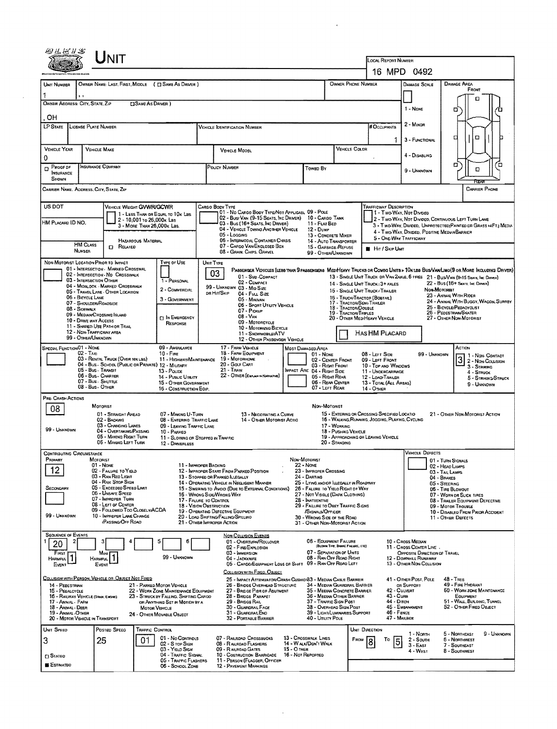|                                                               |                                                                                            |                                                                                 |                                                                                                                                                    |                                                                                                                              |                                                        |                                       |                                                                                     | LOCAL REPORT NUMBER                                                               |                                                        |                                                                                                                             |  |  |  |  |
|---------------------------------------------------------------|--------------------------------------------------------------------------------------------|---------------------------------------------------------------------------------|----------------------------------------------------------------------------------------------------------------------------------------------------|------------------------------------------------------------------------------------------------------------------------------|--------------------------------------------------------|---------------------------------------|-------------------------------------------------------------------------------------|-----------------------------------------------------------------------------------|--------------------------------------------------------|-----------------------------------------------------------------------------------------------------------------------------|--|--|--|--|
|                                                               |                                                                                            |                                                                                 |                                                                                                                                                    |                                                                                                                              |                                                        |                                       |                                                                                     |                                                                                   | 16 MPD 0492                                            |                                                                                                                             |  |  |  |  |
| UNIT NUMBER                                                   |                                                                                            | OWNER NAME: LAST, FIRST, MIDDLE ( C SAME AS DRIVER )                            |                                                                                                                                                    | OWNER PHONE NUMBER                                                                                                           |                                                        |                                       |                                                                                     |                                                                                   | DAMAGE SCALE                                           | DAMAGE AREA<br>FRONT                                                                                                        |  |  |  |  |
| OWNER ADDRESS: CITY, STATE, ZIP                               |                                                                                            | <b>CISAME AS DRIVER</b> )                                                       |                                                                                                                                                    |                                                                                                                              |                                                        |                                       |                                                                                     |                                                                                   |                                                        | п                                                                                                                           |  |  |  |  |
| . OH                                                          |                                                                                            |                                                                                 |                                                                                                                                                    |                                                                                                                              |                                                        |                                       |                                                                                     |                                                                                   | 1 - NONE                                               | n                                                                                                                           |  |  |  |  |
| <b>LP STATE</b>                                               | LICENSE PLATE NUMBER                                                                       |                                                                                 |                                                                                                                                                    | <b>VEHICLE IDENTIFICATION NUMBER</b>                                                                                         |                                                        |                                       |                                                                                     | <b>H</b> OCCUPANTS                                                                | 2 - Minor                                              |                                                                                                                             |  |  |  |  |
|                                                               |                                                                                            |                                                                                 |                                                                                                                                                    |                                                                                                                              |                                                        |                                       |                                                                                     | 1                                                                                 | 3 - Functional                                         | о<br>п                                                                                                                      |  |  |  |  |
| <b>VEHICLE YEAR</b>                                           | <b>VEHICLE MAKE</b>                                                                        |                                                                                 |                                                                                                                                                    | VEHICLE MODEL                                                                                                                |                                                        |                                       | VEHICLE COLOR                                                                       |                                                                                   | 4 - Disabung                                           |                                                                                                                             |  |  |  |  |
| $\Omega$<br>Proof of<br>$\Box$                                | INSURANCE COMPANY                                                                          |                                                                                 |                                                                                                                                                    | POLICY NUMBER                                                                                                                | Towed By                                               |                                       |                                                                                     |                                                                                   |                                                        | а<br>□                                                                                                                      |  |  |  |  |
| <b>INSURANCE</b><br>SHOWN                                     |                                                                                            |                                                                                 |                                                                                                                                                    |                                                                                                                              |                                                        |                                       |                                                                                     |                                                                                   | 9 - Unknown                                            | o<br>বৈত্য                                                                                                                  |  |  |  |  |
|                                                               | Carrier Name, Address, City, State, Zip                                                    |                                                                                 |                                                                                                                                                    |                                                                                                                              |                                                        |                                       |                                                                                     |                                                                                   |                                                        | <b>CARRIER PHONE</b>                                                                                                        |  |  |  |  |
| US DOT                                                        |                                                                                            | VEHICLE WEIGHT GVWR/GCWR                                                        |                                                                                                                                                    | Cargo Body Type                                                                                                              |                                                        |                                       |                                                                                     | TRAFFICWAY DESCRIPTION                                                            |                                                        |                                                                                                                             |  |  |  |  |
| HM PLACARD ID NO.                                             |                                                                                            | 1 - Less Than or Equal to 10x LBS<br>2 - 10,001 to 26,000x Las                  |                                                                                                                                                    | 01 - No CARGO BODY TYPE/NOT APPLICABL 09 - POLE<br>02 - Bus/Van (9-15 Seats, Inc Driver)<br>03 - Bus (16+ Seats, Inc Driver) |                                                        | 10 - Cargo Tank<br>11 - FLAT BED      |                                                                                     |                                                                                   | 11 - Two Way, Not Divided                              | 2 - Two-Way, Not Divideo, Continuous LEFT TURN LANE                                                                         |  |  |  |  |
|                                                               |                                                                                            | 3 MORE THAN 26,000K Las.                                                        |                                                                                                                                                    | 04 - VEHICLE TOWING ANOTHER VEHICLE<br>05 - Locaing                                                                          | $12 - D$ UMP                                           | 13 - CONCRETE MIXER                   |                                                                                     |                                                                                   | 4 - Two WAY, DIVIDED, POSITIVE MEDIAN BARRIER          | 3 - Two-Way, Divided, Unprotected (Painted or Grass >4FT.) Media                                                            |  |  |  |  |
|                                                               | <b>HM CLASS</b><br><b>C</b> RELATED                                                        | HAZARDOUS MATERIAL                                                              |                                                                                                                                                    | 06 - INTERMODAL CONTAINER CHASIS<br>07 - CARGO VAN ENGLOSED BOX                                                              |                                                        | 15 - GARBAGE/REFUSE                   | 14 - AUTO TRANSPORTER                                                               | 5 - ONE-WAY TRAFFICWAY                                                            |                                                        |                                                                                                                             |  |  |  |  |
|                                                               | NUMBER                                                                                     |                                                                                 |                                                                                                                                                    | 08 - Gran, Chips, Gravel                                                                                                     |                                                        | 99 - OTHER/UNKNOWN                    |                                                                                     | <b>HIT / SKIP UNIT</b>                                                            |                                                        |                                                                                                                             |  |  |  |  |
|                                                               | NON-MOTORIST LOCATION PRIOR TO IMPACT<br>01 - INTERSECTION - MARKED CROSSWAL               | <b>TYPE OF USE</b>                                                              | UNIT TYPE<br>03                                                                                                                                    |                                                                                                                              |                                                        |                                       |                                                                                     |                                                                                   |                                                        | PASSENGER VEHICLES (LESS THAN 9 PASSENGERS MEDIHEAVY TRUCKS OR COMBO UNITS > 10K LES BUS/VAMUMO(9 OR MORE INCLUDING DRIVER) |  |  |  |  |
|                                                               | 02 - INTERSECTION - ND CROSSWALK<br>03 - INTERSECTION OTHER                                | 1 - PERSONAL                                                                    |                                                                                                                                                    | 01 - Sub-Compact<br>02 - COMPACT                                                                                             |                                                        |                                       |                                                                                     | 14 - SINGLE UNIT TRUCK: 3+ AXLES                                                  |                                                        | 13 - SINGLE UNIT TRUCK OR VAN 2AXLE, 6 TRES 21 - BUS/VAN (9-15 SEATS, INC DRIVER)<br>22 - Bus (16+ Seats, Inc Driver)       |  |  |  |  |
|                                                               | 04 - MIDBLOCK - MARKED CROSSWALK<br>05 - TRAVEL LANE - OTHER LOCATION<br>06 - BICYCLE LANE | 2 - COMMERCIAL                                                                  |                                                                                                                                                    | 99 - UNKNOWN 03 - MID SIZE<br>DR HIT/SKIP<br>04 - FULL SIZE                                                                  |                                                        |                                       |                                                                                     | 15 - SINGLE UNIT TRUCK / TRAILER<br>15 - TRUCK/TRACTOR (BOBTATL)                  |                                                        | NON MOTORIST<br>23 - ANIMAL WITH RIDER                                                                                      |  |  |  |  |
| 08 - Sidewalk                                                 | 07 - SHOULDER/ROADSIDE                                                                     | 3 - GOVERNMENT                                                                  |                                                                                                                                                    | 05 - MINIVAN<br>06 - SPORT UTILITY VEHICLE                                                                                   |                                                        |                                       | 17 - TRACTOR/SEMI-TRAILER<br>18 - TRACTOR/DOUBLE                                    |                                                                                   |                                                        | 24 - ANIMAL WITH BUGGY, WAGON, SURREY<br>25 - BICYCLE/PEDACYCLIST                                                           |  |  |  |  |
|                                                               | 09 - MEDIAN/CROSSING ISLAND<br>10 - DRNE WAY ACCESS                                        | <b>DIN EMERGENCY</b>                                                            |                                                                                                                                                    | 07 - Pickup<br>08 - Van                                                                                                      |                                                        |                                       | 19 - Tractor/Trples                                                                 | 26 - PEDESTRIAN/SKATER<br>20 - OTHER MEDIHEAVY VEHICLE<br>27 - OTHER NON-MOTORIST |                                                        |                                                                                                                             |  |  |  |  |
|                                                               | 11 - SHARED USE PATH OR TRAIL<br>12 - NON-TRAFFICWAY AREA                                  | RESPONSE                                                                        |                                                                                                                                                    | 09 - MOTORCYCLE<br>10 - MOTORIZED BICYCLE                                                                                    |                                                        |                                       |                                                                                     | HAS HM PLACARD                                                                    |                                                        |                                                                                                                             |  |  |  |  |
|                                                               | 99 - OTHER/UNKNOWN                                                                         |                                                                                 |                                                                                                                                                    | 11 - SNOWMOBILE/ATV<br>12 - OTHER PASSENGER VEHICLE                                                                          |                                                        |                                       |                                                                                     |                                                                                   |                                                        |                                                                                                                             |  |  |  |  |
| <b>SPECIAL FUNCTION 01 - NONE</b>                             | 02 - Taxi                                                                                  | 09 - AMBULANCE<br>$10 -$ Fire                                                   |                                                                                                                                                    | 17 - FARM VEHICLE<br>18 - FARM EQUIPMENT                                                                                     | MOST DAMAGED AREA                                      | $01 - None$                           |                                                                                     | 08 - LEFT SIDE                                                                    | 99 - Unknown                                           | ACTION<br>1 - NON-CONTACT                                                                                                   |  |  |  |  |
|                                                               | 03 - RENTAL TRUCK (OVER 10K LBS)<br>05 - Bus - Transit                                     | 11 - HIGHWAY/MAINTENANCE<br>04 - Bus - School (Public or Private) 12 - Military |                                                                                                                                                    | 19 - MOTORHOME<br>20 - GOLF CART<br>21 - Train                                                                               |                                                        | 02 - CENTER FRONT<br>03 - Right Front |                                                                                     | 09 - LEFT FRONT<br>10 - TOP AND WINDOWS                                           |                                                        | 3 2 - NON-CONTACT<br>3 - STRIKING                                                                                           |  |  |  |  |
|                                                               | 06 - Bus - Charter<br>07 - Bus - SHUTTLE                                                   | 13 - Pouce<br>14 - Pustic UTILITY                                               |                                                                                                                                                    | 22 - OTHER (EXPLAN IN NARRATIVE)                                                                                             | IMPACT ARE 04 - RIGHT SIDE                             | 05 - Right Rear<br>06 - REAR CENTER   |                                                                                     | 11 - UNOERCARRIAGE<br>12 - LOAD/TRAILER                                           |                                                        | 4 - STRUCK<br>5 - STRIKING/STRUCK                                                                                           |  |  |  |  |
|                                                               | 08 - Bus - OTHER                                                                           | 15 - OTHER GOVERNMENT<br>16 - CONSTRUCTION EOIP.                                |                                                                                                                                                    |                                                                                                                              |                                                        | 07 - LEFT REAR                        |                                                                                     | 13 - TOTAL (ALL AREAS)<br>14 - Отнен                                              |                                                        | 9 - UNKNOWN                                                                                                                 |  |  |  |  |
| PRE- CRASH ACTIONS                                            | MOTORIST                                                                                   |                                                                                 |                                                                                                                                                    |                                                                                                                              |                                                        | Non-Motorist                          |                                                                                     |                                                                                   |                                                        |                                                                                                                             |  |  |  |  |
| 08                                                            | 01 - STRAIGHT AHEAD<br>02 - BACKING                                                        | 07 - MAKING U-TURN                                                              |                                                                                                                                                    | 13 - NEGOTIATING A CURVE                                                                                                     |                                                        |                                       |                                                                                     | 15 - ENTERING OR CROSSING SPECIFIED LOCATIO                                       |                                                        | 21 - OTHER NON-MOTORIST ACTION                                                                                              |  |  |  |  |
| 99 - UNKNOWN                                                  | 03 - CHANGING LANES<br>04 - OVERTAKING/PASSING                                             | 09 - LEAVING TRAFFIC LANE                                                       | 14 - OTHER MOTORIST ACTIO<br>16 - WALKING RUNNING, JOGGING, PLAYING, CYCLING<br>08 - ENTERINO TRAFFIC LANE<br>17 - WORKING<br>18 - PUSHING VEHICLE |                                                                                                                              |                                                        |                                       |                                                                                     |                                                                                   |                                                        |                                                                                                                             |  |  |  |  |
|                                                               | 05 - MAKING RIGHT TURN<br>06 - MAKING LEFT TURN                                            | 10 - PARKED<br>11 - SLOWING OR STOPPED IN TRAFFIC<br>12 - DRIVERLESS            |                                                                                                                                                    |                                                                                                                              |                                                        | 20 - STANDING                         |                                                                                     | 19 - APPROACHING OR LEAVING VEHICLE                                               |                                                        |                                                                                                                             |  |  |  |  |
| <b>CONTRIBUTING CIRCUMSTANCE</b>                              |                                                                                            |                                                                                 |                                                                                                                                                    |                                                                                                                              |                                                        |                                       |                                                                                     |                                                                                   | VEHICLE DEFECTS                                        |                                                                                                                             |  |  |  |  |
| Primary                                                       | MOTORIST<br>01 - NONE                                                                      |                                                                                 | 11 - IMPROPER BACKING                                                                                                                              |                                                                                                                              | NON-MOTORIST<br>$22 - None$                            |                                       |                                                                                     |                                                                                   |                                                        | 01 - TURN SIGNALS<br>02 - HEAD LAMPS                                                                                        |  |  |  |  |
| 12                                                            | 02 - FAILURE TO YIELD<br>03 - RAN RED LIGHT                                                |                                                                                 |                                                                                                                                                    | 12 - IMPROPER START FROM PARKED POSITION<br>13 - STOPPED OR PARKED ILLEGALLY                                                 | 23 - IMPROPER CROSSING<br>24 - DARTING                 |                                       |                                                                                     |                                                                                   |                                                        | 03 - Tail Lamps<br>04 - BRAKES                                                                                              |  |  |  |  |
| SECONDARY                                                     | 04 - RAN STOP SIGN<br>05 - Exceeped Speed Limit                                            |                                                                                 |                                                                                                                                                    | 14 - Operating Vehicle in Negligent Manner<br>15 - SWERING TO AVOID (DUE TO EXTERNAL CONDITIONS)                             |                                                        |                                       | 25 - LYING AND/OR LLEGALLY IN ROADWAY<br>26 - FALURE TO YIELO RIGHT OF WAY          |                                                                                   |                                                        | 05 - STEERING<br>06 - TIRE BLOWOUT                                                                                          |  |  |  |  |
|                                                               | 06 - UNSAFE SPEED<br>07 - IMPROPER TURN                                                    |                                                                                 | 17 - FALURE TO CONTROL                                                                                                                             | 16 - WRONG SIDE/WRONG WAY                                                                                                    | 28 - INATTENTIVE                                       |                                       | 27 - NOT VISIBLE (DARK CLOTHING)                                                    |                                                                                   |                                                        | 07 - WORN OR SLICK TIRES<br>08 - TRALER EQUIPMENT DEFECTIVE                                                                 |  |  |  |  |
| 99 - UNKNOWN                                                  | 08 - LEFT OF CENTER<br>09 - FOLLOWED TOO CLOSELY/ACDA<br>10 - IMPROPER LANE CHANGE         |                                                                                 | 18 - Vision Obstruction                                                                                                                            | 19 - OPERATING DEFECTIVE EQUIPMENT                                                                                           | 29 - FAILURE TO OBEY TRAFFIC SIGNS<br>/SIGNALS/OFFICER |                                       |                                                                                     |                                                                                   |                                                        | 09 - MOTOR TROUBLE<br>10 - DISABLED FROM PRIOR ACCIDENT                                                                     |  |  |  |  |
|                                                               | (PASSING/OFF ROAD)                                                                         |                                                                                 |                                                                                                                                                    | 20 - LOAD SHIFTING/FALLING/SPILLINO<br>21 - OTHER IMPROPER ACTION                                                            | 30 - WRONG SIDE OF THE ROAD                            |                                       | 31 - OTHER NON-MOTORIST ACTION                                                      |                                                                                   |                                                        | 11 - OTHER DEFECTS                                                                                                          |  |  |  |  |
| <b>SEQUENCE OF EVENTS</b>                                     |                                                                                            |                                                                                 |                                                                                                                                                    | <b>NON-COLLISION EVENTS</b><br>01 - OVERTURN/ROLLOVER                                                                        |                                                        |                                       | 06 - EQUIPMENT FAILURE                                                              |                                                                                   | 10 - CROSS MEDIAN                                      |                                                                                                                             |  |  |  |  |
| 20<br><b>FIRST</b>                                            | Most                                                                                       |                                                                                 |                                                                                                                                                    | 02 - FIRE/EXPLOSION<br>03 - IMMERSION                                                                                        |                                                        |                                       | (BLOWN TIRE, BRAKE FAILURE, ETC)<br>07 - SEPARATION OF UNITS                        |                                                                                   | 11 - CROSS CENTER LINE<br>OPPOSITE DIRECTION OF TRAVEL |                                                                                                                             |  |  |  |  |
| HARMFUL <sup>1</sup><br>EVENT                                 | <b>HARMFUL</b><br>EVENT                                                                    | 99 - Unknown                                                                    |                                                                                                                                                    | 04 - JACKKNIFE<br>05 - CARGO/EQUIPMENT LOSS OR SHIFT 09 - RAN OFF ROAD LEFT                                                  |                                                        |                                       | 08 - RAN OFF ROAD RIGHT                                                             |                                                                                   | 12 - DOWNHILL RUNAWAY<br>13 - OTHER NON-COLLISION      |                                                                                                                             |  |  |  |  |
|                                                               |                                                                                            |                                                                                 |                                                                                                                                                    | COLLISION WITH FIXED, OBJECT                                                                                                 |                                                        |                                       |                                                                                     |                                                                                   |                                                        |                                                                                                                             |  |  |  |  |
| 14 - PEDESTRIAN                                               | COLLISION WITH PERSON, VEHICLE OR OBJECT NOT FIXED                                         | 21 - PARKED MOTOR VEHICLE                                                       |                                                                                                                                                    | 25 - IMPACT ATTENUATOR/CRASH CUSHIO183 - MEDIAN CABLE BARRIER<br>26 - BRIDGE OVERHEAD STRUCTURE                              |                                                        |                                       | 34 - MEDIAN GUARDRAIL BARRIER                                                       |                                                                                   | 41 - OTHER POST, POLE<br>OR SUPPORT                    | $48 - T_{REE}$<br>49 - FIRE HYDRANT                                                                                         |  |  |  |  |
| 15 - PEDALCYCLE                                               | 16 - RAILWAY VEHICLE (TRADI, ENGINE)                                                       | 22 - WORK ZONE MAINTENANCE EQUIPMENT<br>23 - STRUCK BY FALLING, SHIFTING CARGO  |                                                                                                                                                    | 27 - BRIDGE PIER OR ABUTMENT<br>28 - BRIDGE PARAPET<br>29 - BRIDGE RAIL                                                      |                                                        |                                       | 35 - MEDIAN CONCRETE BARRIER<br>36 - MEDIAN OTHER BARRIER<br>37 - TRAFFIC SIGN POST | 43 - Curs<br>44 - Олсн                                                            | 42 - CULVERT                                           | 50 - WORK ZONE MAINTENANCE<br><b>EQUIPMENT</b><br>51 - WALL, BULDING, TUNNEL                                                |  |  |  |  |
| 17 - ANIMAL - FARM<br>18 - Animal - Deer<br>19 - ANIMAL OTHER |                                                                                            | OR ANYTHING SET IN MOTION BY A<br>MOTOR VEHICLE                                 |                                                                                                                                                    | 30 - GUARDRAIL FACE<br>31 - GUARDRAILEND                                                                                     |                                                        |                                       | 38 - OVERHEAD SIGN POST<br>39 - LIGHT/LUMINARIES SUPPORT                            | 46 - FENCE                                                                        | 45 - Embankment                                        | 52 - Отнея Fixep Овдест                                                                                                     |  |  |  |  |
|                                                               | 20 - MOTOR VEHICLE IN TRANSPORT                                                            | 24 - OTHER MOVABLE OBJECT                                                       |                                                                                                                                                    | 32 - PORTABLE BARRIER                                                                                                        |                                                        | 40 - UTILITY POLE                     |                                                                                     |                                                                                   | 47 - Marbox                                            |                                                                                                                             |  |  |  |  |
| UNIT SPEED                                                    | Postep SPEED                                                                               | <b>TRAFFIC CONTROL</b><br>01 - No CONTROLS                                      |                                                                                                                                                    | 07 - RALRDAD CROSSBUCKS                                                                                                      | 13 - CROSSWALK LINES                                   |                                       |                                                                                     | UNIT DIRECTION                                                                    | 1 - North                                              | 9 - UNKNOWN<br>5 - NORTHEAST                                                                                                |  |  |  |  |
| 3                                                             | 25                                                                                         | 01<br>02 - S rop Sign<br>03 - YIELD SIGN                                        |                                                                                                                                                    | 08 - RALROAD FLASHERS<br>09 - RAILROAD GATES                                                                                 | 14 - WALK/DON'T WALK<br>15 - Отнев                     |                                       | Ғяом                                                                                | Τo<br>5                                                                           | $2 -$ South<br>$3 - E$ AST                             | <b>6 - NORTHWEST</b><br>7 - SOUTHEAST                                                                                       |  |  |  |  |
| <b>CI STATEO</b>                                              |                                                                                            | 04 - TRAFFIC SIGNAL<br>05 - Traffic Flashers                                    |                                                                                                                                                    | 10 - COSTRUCTION BARRICADE<br>11 - PERSON (FLAGGER, OFFICER                                                                  | 16 - Not Reported                                      |                                       |                                                                                     |                                                                                   | 4 - WEST                                               | 8 - Southwest                                                                                                               |  |  |  |  |
| <b>E</b> ESTIMATEO                                            |                                                                                            | 06 - SCHOOL ZONE                                                                |                                                                                                                                                    | 12 - PAVEMENT MARKINGS                                                                                                       |                                                        |                                       |                                                                                     |                                                                                   |                                                        |                                                                                                                             |  |  |  |  |

 $\sim 10^{11}$  km  $^{-1}$ 

 $\mathcal{L}^{\text{max}}_{\text{max}}$  and  $\mathcal{L}^{\text{max}}_{\text{max}}$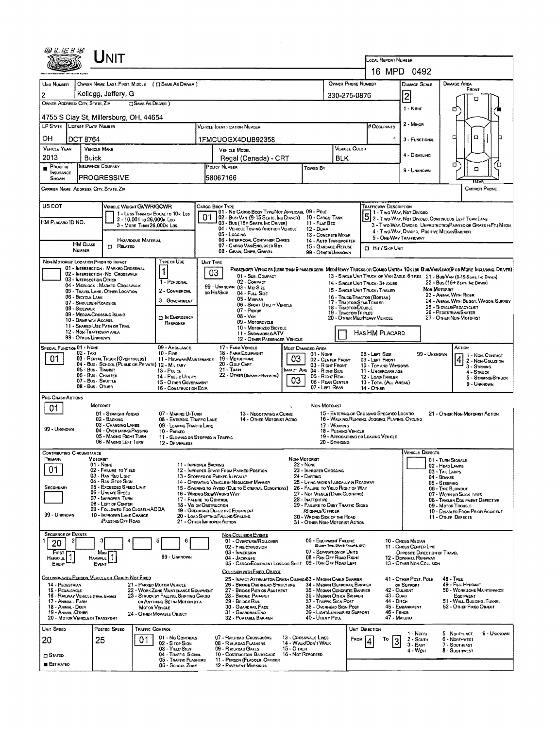|                                                                                                                                                   |                                                                      | <b>J</b> NIT                                                                                   |                            |                                                                          |                                                                                          |                                                                                                                                     |                                 |                                                                                       |                                  |                    |                                                                                                                                                 |                                                             |                                      |                                                                                                                           |                                      |  |  |
|---------------------------------------------------------------------------------------------------------------------------------------------------|----------------------------------------------------------------------|------------------------------------------------------------------------------------------------|----------------------------|--------------------------------------------------------------------------|------------------------------------------------------------------------------------------|-------------------------------------------------------------------------------------------------------------------------------------|---------------------------------|---------------------------------------------------------------------------------------|----------------------------------|--------------------|-------------------------------------------------------------------------------------------------------------------------------------------------|-------------------------------------------------------------|--------------------------------------|---------------------------------------------------------------------------------------------------------------------------|--------------------------------------|--|--|
|                                                                                                                                                   |                                                                      |                                                                                                |                            |                                                                          |                                                                                          |                                                                                                                                     |                                 |                                                                                       |                                  |                    | LOCAL REPORT NUMBER                                                                                                                             | 16 MPD 0492                                                 |                                      |                                                                                                                           |                                      |  |  |
| <b>UNIT NUMBER</b>                                                                                                                                |                                                                      |                                                                                                |                            | OWNER NAME: LAST, FIRST, MIDDLE ( [ ] SAME AS DRIVER ]                   |                                                                                          |                                                                                                                                     |                                 |                                                                                       |                                  | OWNER PHONE NUMBER |                                                                                                                                                 | DAMAGE SCALE                                                |                                      | DAMAGE AREA                                                                                                               |                                      |  |  |
| 2                                                                                                                                                 |                                                                      | Kellogg, Jeffery, G                                                                            |                            |                                                                          | 330-275-0876                                                                             |                                                                                                                                     | $\overline{2}$                  |                                                                                       | FRONT<br>п                       |                    |                                                                                                                                                 |                                                             |                                      |                                                                                                                           |                                      |  |  |
| OWNER ADDRESS: CITY, STATE, ZIP                                                                                                                   |                                                                      | 1 - NONE                                                                                       |                            | o                                                                        |                                                                                          |                                                                                                                                     |                                 |                                                                                       |                                  |                    |                                                                                                                                                 |                                                             |                                      |                                                                                                                           |                                      |  |  |
| 4755 S Clay St, Millersburg, OH, 44654<br># Occupants                                                                                             |                                                                      |                                                                                                |                            |                                                                          |                                                                                          |                                                                                                                                     |                                 |                                                                                       |                                  |                    |                                                                                                                                                 |                                                             |                                      |                                                                                                                           |                                      |  |  |
|                                                                                                                                                   | LP STATE LICENSE PLATE NUMBER<br><b>VEHICLE DENTIFICATION NUMBER</b> |                                                                                                |                            |                                                                          |                                                                                          |                                                                                                                                     |                                 |                                                                                       |                                  |                    |                                                                                                                                                 | 2 - MINOR                                                   |                                      |                                                                                                                           |                                      |  |  |
| OН<br><b>VEHICLE YEAR</b>                                                                                                                         | <b>DCT 8764</b>                                                      | <b>VEHICLE MAKE</b>                                                                            |                            |                                                                          |                                                                                          | 1FMCUOGX4DUB92358                                                                                                                   |                                 |                                                                                       |                                  | VEHICLE COLOR      |                                                                                                                                                 | 3 - FUNCTIONAL                                              |                                      | □<br>o                                                                                                                    |                                      |  |  |
| 2013                                                                                                                                              |                                                                      | <b>Buick</b>                                                                                   |                            |                                                                          |                                                                                          | <b>VEHICLE MODEL</b><br>Regal (Canada) - CRT                                                                                        |                                 |                                                                                       | <b>BLK</b>                       |                    |                                                                                                                                                 | 4 - DISABLING                                               |                                      |                                                                                                                           |                                      |  |  |
| Proof of<br><b>INSURANCE</b>                                                                                                                      |                                                                      | INSURANCE COMPANY                                                                              |                            |                                                                          |                                                                                          | POLICY NUMBER                                                                                                                       |                                 | Toweo By                                                                              |                                  |                    | 9 - UNKNOWN                                                                                                                                     |                                                             |                                      | о<br>o                                                                                                                    | Έ                                    |  |  |
| SHOWN                                                                                                                                             |                                                                      | <b>PROGRESSIVE</b>                                                                             |                            |                                                                          |                                                                                          | 58067166                                                                                                                            |                                 |                                                                                       |                                  |                    |                                                                                                                                                 |                                                             |                                      | ਸਟਸ                                                                                                                       |                                      |  |  |
|                                                                                                                                                   |                                                                      | CARRIER NAME, ADDRESS, CITY, STATE, ZIP                                                        |                            |                                                                          |                                                                                          |                                                                                                                                     |                                 |                                                                                       |                                  |                    |                                                                                                                                                 |                                                             |                                      | <b>CARRIER PHONE</b>                                                                                                      |                                      |  |  |
| US DOT                                                                                                                                            |                                                                      | VEHICLE WEIGHT GWWR/GCWR                                                                       |                            |                                                                          |                                                                                          | CARGO BOOY TYPE<br>01 - No CARGO BOOY TYPE/NOT APPLICABL 09 - POLE                                                                  |                                 |                                                                                       |                                  |                    | <b>TRAFFICWAY DESCRIPTION</b><br>1 - Two-Way, Not Divided                                                                                       |                                                             |                                      |                                                                                                                           |                                      |  |  |
| HM PLACARD ID NO.                                                                                                                                 |                                                                      |                                                                                                | 2 - 10,001 To 26,000K Las  | 1 - LESS THAN OR EQUAL TO 10K LBS                                        |                                                                                          | 02 - BUS/VAN (9-15 SEATS, INC DRIVER) 10 - CARGO TANK<br>03 - Bus (16+ Seats, Inc Driver)                                           |                                 | 11 - FLAT BED                                                                         |                                  |                    |                                                                                                                                                 |                                                             |                                      | 5 2 - TWO-WAY, NOT DIVIDED, CONTINUOUS LEFT TURN LANE<br>3 - Two-Way, Divided, Unprotected(Painteo of Grass > 4FT.) Media |                                      |  |  |
|                                                                                                                                                   |                                                                      |                                                                                                | 3 - MORE THAN 26,000K LBS. |                                                                          |                                                                                          | 04 - VEHICLE TOWING ANOTHER VEHICLE<br>05 - Logging                                                                                 |                                 | 12 - Dump<br>13 - CONCRETE MIXER                                                      |                                  |                    |                                                                                                                                                 | 4 - Two-WAY, DIVIDEO, POSITIVE MEDIAN BARRIER               |                                      |                                                                                                                           |                                      |  |  |
|                                                                                                                                                   | <b>HM CLASS</b><br>NUMBER                                            | $\Box$ Related                                                                                 | HAZAROOUS MATERIAL         |                                                                          |                                                                                          | 06 - INTERMODAL CONTAINER CHASIS<br>07 - CARGO VAN/ENCLOSED BOX                                                                     |                                 | 14 - AUTO TRANSPORTER<br>15 - GARBAGE /REFUSE                                         |                                  |                    | 5 - ONE-WAY TRAFFICWAY<br><b>D</b> Hit / Skip Unit                                                                                              |                                                             |                                      |                                                                                                                           |                                      |  |  |
|                                                                                                                                                   |                                                                      | NON-MOTORIST LOCATION PRIOR TO IMPACT                                                          |                            | TYPE OF USE                                                              |                                                                                          | 08 - GRAIN, CHIPS, GRAVEL<br>UNIT TYPE                                                                                              |                                 | 99 - OTHER/UNKNOWN                                                                    |                                  |                    |                                                                                                                                                 |                                                             |                                      |                                                                                                                           |                                      |  |  |
|                                                                                                                                                   |                                                                      | 01 - INTERSECTION - MARKED CROSSWAL<br>02 - INTERSECTION - NO CROSSWALK                        |                            | 1                                                                        |                                                                                          | Passenger Venicles (less than 9 passengers MediHeavy Trucks or Combo Units > 10k les Bus/Van/Limo(9 or More Including Driver)<br>03 |                                 |                                                                                       |                                  |                    |                                                                                                                                                 |                                                             |                                      |                                                                                                                           |                                      |  |  |
|                                                                                                                                                   |                                                                      | 03 - INTERSECTION OTHER<br>04 - MIDBLOCK - MARKED CROSSWALK                                    |                            | 1 - PERSONAL                                                             |                                                                                          | 01 - Sub-COMPACT<br>02 - COMPACT<br>99 - UNKNOWN 03 - MID SIZE                                                                      |                                 |                                                                                       |                                  |                    | 14 - SINGLE UNIT TRUCK: 3+ AXLES                                                                                                                |                                                             |                                      | 13 - SINGLE UNIT TRUCK OR VAN 2AXLE, 6 TIRES 21 - BUS/VAN (9-15 SEARS, INC DRIVER)<br>22 - Bus (16+ Seats, Inc Driver)    |                                      |  |  |
|                                                                                                                                                   | 06 - BICYCLE LANE                                                    | 05 - TRAVEL LANE - OTHER LOCATION                                                              |                            | 2 - COMMERCIAL                                                           |                                                                                          | OR HIT/SKIP<br>04 - FULL SIZE<br>05 - MINIVAN                                                                                       |                                 |                                                                                       |                                  |                    | 15 - SINGLE UNIT TRUCK / TRAILER<br>16 - TRUCK/TRACTOR (BOSTAIL)                                                                                |                                                             | NON-MOTORIST                         | 23 - ANIMAL WITH RIDER                                                                                                    |                                      |  |  |
|                                                                                                                                                   | 08 - SIDEWALK                                                        | 07 - SHOULDER/ROADSIDE                                                                         |                            | 3 - Government                                                           |                                                                                          | 06 - SPORT UTILITY VEHICLE<br>07 - PICKUP                                                                                           |                                 |                                                                                       |                                  |                    | 24 - ANIMAL WITH BUGGY, WAGON, SURREY<br>17 - TRACTOR/SEMI-TRAILER<br>18 - TRACTOR/DDUBLE<br>25 - BICYCLE/PEDACYCLIST<br>26 - PEDESTRIAN SKATER |                                                             |                                      |                                                                                                                           |                                      |  |  |
|                                                                                                                                                   | 10 - DRIVE WAY ACCESS                                                | 09 - MEDIAN/CROSSING ISLAND                                                                    |                            | <b>D IN EMERGENCY</b><br>RESPONSE                                        | 19 - TRACTOR/TRIPLES<br>$08 - V_{AN}$<br>20 - OTHER MEQIMEAVY VEHICLE<br>09 - Moroncycle |                                                                                                                                     |                                 |                                                                                       |                                  |                    | 27 - OTHER NON-MOTORIST                                                                                                                         |                                                             |                                      |                                                                                                                           |                                      |  |  |
| 11 - SHARED-USE PATH OR TRAIL<br>10 - MOTORIZEO BICYCLE<br>12 - NON-TRAFFICWAY AREA<br>HAS HM PLACARD<br>11 - SNDWMOBLE/ATV<br>99 - OTHER/UNKNOWN |                                                                      |                                                                                                |                            |                                                                          |                                                                                          |                                                                                                                                     |                                 |                                                                                       |                                  |                    |                                                                                                                                                 |                                                             |                                      |                                                                                                                           |                                      |  |  |
| SPECIAL FUNCTION 01 - NONE                                                                                                                        |                                                                      |                                                                                                |                            | 09 - AMBULANCE                                                           |                                                                                          | 12 - OTHER PASSENGER VEHICLE<br>17 - FARM VEHICLE                                                                                   |                                 | MOST DAMAGED AREA                                                                     |                                  |                    |                                                                                                                                                 |                                                             |                                      | Астюн                                                                                                                     |                                      |  |  |
| 01                                                                                                                                                | $02 - TAXI$                                                          | 03 - RENTAL TRUCK (OVER 10K LBS)                                                               |                            | $10 -$ Free<br>11 - HIGHWAY/MAINTENANCE                                  |                                                                                          | 18 - FARM EQUIPMENT<br>19 - Мотояноме<br>20 - Gour Cart                                                                             | 03                              | 01 - Nove<br>02 - CENTER FRONT                                                        |                                  |                    | 08 - LEFT SIDE<br>09 - LEFT FRONT                                                                                                               |                                                             | 99 - UNKNOWN                         |                                                                                                                           | 1 - NON-CONTACT<br>2 - Non-Collision |  |  |
|                                                                                                                                                   |                                                                      | 04 - BUS - SCHOOL (PUBLIC OR PRIVATE) 12 - MILITARY<br>05 - Bus. Transıt<br>06 - Bus - Charter |                            | 13 - Pouce                                                               |                                                                                          | $21 -$ Tran<br>22 - OTHER (EXPLAN IN NARRATIVE)                                                                                     | Impact Are                      | 03 - Right Front<br>04 - RIOHT SIDE<br>05 - RIGHT REAR                                |                                  |                    | 10 - Top and Windows<br>11 - UNDERCARRIAGE                                                                                                      |                                                             |                                      | 3 - STRIKING<br>4 - STRUCK                                                                                                |                                      |  |  |
|                                                                                                                                                   |                                                                      | 07 - Bus - SHUTTLE<br>08 - Bus - OTHER                                                         |                            | 14 - PUBLIC UTILITY<br>15 - Other Government<br>16 - Construction Eqip.  |                                                                                          |                                                                                                                                     | 03                              | 06 - REAR CENTER<br>07 - LEFT REAR                                                    |                                  |                    | 12 - LOAD/TRAILER<br>13 - TOTAL (ALL AREAS)<br>14 - OTHER                                                                                       |                                                             |                                      | 9 - UNKNOWN                                                                                                               | 5 - STRIKING/STRUCK                  |  |  |
| PRE-CRASH ACTIONS                                                                                                                                 |                                                                      |                                                                                                |                            |                                                                          |                                                                                          |                                                                                                                                     |                                 |                                                                                       |                                  |                    |                                                                                                                                                 |                                                             |                                      |                                                                                                                           |                                      |  |  |
| 01                                                                                                                                                |                                                                      | MOTORIST<br>01 - STRAIGHT AHEAD                                                                |                            | 07 - MAKING U-TURN                                                       |                                                                                          | 13 - NEGOTIATING A CURVE                                                                                                            |                                 | Non-Motorist                                                                          |                                  |                    | 15 - ENTERING OR CROSSINO SPECIFIED LOCATIO                                                                                                     |                                                             |                                      | 21 - OTHER NON-MOTORIST ACTION                                                                                            |                                      |  |  |
|                                                                                                                                                   |                                                                      | 02 - BACKING<br>03 - CHANGING LANES                                                            |                            | 08 - ENTERING TRAFFIC LANE<br>09 - LEAVING TRAFFIC LANE                  |                                                                                          | 14 - OTHER MOTORIST ACTIO                                                                                                           |                                 |                                                                                       | 17 - Woaking                     |                    | 16 - WALKING, RUMNING, JOGGING, PLAYING, CYCLING                                                                                                |                                                             |                                      |                                                                                                                           |                                      |  |  |
| 99 - UNKNOWN                                                                                                                                      |                                                                      | 04 - OVERTAKING/PASSING<br>05 - MAKING RIGHT TURN                                              |                            | 10 - PARKED<br>11 - Slowing or Stopped in Traffic                        |                                                                                          |                                                                                                                                     |                                 |                                                                                       | 18 - PUSHING VEHICLE             |                    | 19 - APPROACHING OR LEAVING VEHICLE                                                                                                             |                                                             |                                      |                                                                                                                           |                                      |  |  |
| <b>CONTRIBUTING CIRCUMSTANCE</b>                                                                                                                  |                                                                      | 06 - MAKING LEFT TURN                                                                          |                            | 12 - DAMERLESS                                                           |                                                                                          |                                                                                                                                     |                                 |                                                                                       | 20 - STANDING                    |                    |                                                                                                                                                 | <b>VEHICLE DEFECTS</b>                                      |                                      |                                                                                                                           |                                      |  |  |
| PRIMARY                                                                                                                                           |                                                                      | Moronist<br>01 - None                                                                          |                            | 11 - IMPROPER BACKING                                                    |                                                                                          |                                                                                                                                     |                                 | Non-Motorist<br>$22 - None$                                                           |                                  |                    |                                                                                                                                                 |                                                             | 01 - TURN SIGNALS<br>02 - HEAD LAMPS |                                                                                                                           |                                      |  |  |
| 01                                                                                                                                                |                                                                      | 02 - FAILURE TO YIELD<br>03 - RAN RED LIGHT                                                    |                            |                                                                          |                                                                                          | 12 - IMPROPER START FROM PARKED POSITION<br>13 - STOPPED OR PARKED LLEGALLY                                                         |                                 | 23 - IMPROPER CROSSING<br>24 - DARTING                                                |                                  |                    |                                                                                                                                                 |                                                             | 03 - TAIL LAMPS<br>04 - BRAKES       |                                                                                                                           |                                      |  |  |
| SECONDARY                                                                                                                                         |                                                                      | 04 - RAN STOP SIGN<br>05 - Excesoso Speed Limit                                                |                            |                                                                          |                                                                                          | 14 - OPERATING VEHICLE IN NEGLIGENT MANNER<br>15 - Swering to Avoid (Due to External Conditions)                                    |                                 | 25 - LYING ANDIOR ILLEGALLY IN ROADWAY<br>26 - FALURE TO YIELD RIGHT OF WAY           |                                  |                    |                                                                                                                                                 |                                                             | 05 - STEERING<br>06 - THE BLOWOUT    |                                                                                                                           |                                      |  |  |
|                                                                                                                                                   |                                                                      | 06 - Unsafe Speed<br>07 - IMPROPER TURN<br>08 - LEFT OF CENTER                                 |                            | 17 - FALURE TO CONTROL                                                   |                                                                                          | 16 - WRONG SIDE/WRONG WAY                                                                                                           |                                 | 27 - Not Visible (Dark Clothing)<br>28 - INATTENTIVE                                  |                                  |                    |                                                                                                                                                 | 07 - WORN OR SLICK TIRES<br>08 - TRALER EQUIPMENT DEFECTIVE |                                      |                                                                                                                           |                                      |  |  |
| 99 - Unknown                                                                                                                                      |                                                                      | 09 - FOLLOWED TOO CLOSELY/ACDA<br>10 - IMPROPER LANE CHANGE                                    |                            | 18 - VISION OBSTRUCTION                                                  |                                                                                          | 19 - Operating Defective Equipment<br>20 - LOAD SHETING/FALLING/SPILLING                                                            |                                 | 29 - FAILURE TO OBEY TRAFFIC SIGNS<br>/SIGNALS/OFFICER<br>30 - WRONG SIDE OF THE ROAD |                                  |                    |                                                                                                                                                 |                                                             |                                      | 09 - Motor Trouble<br>10 - DISABLEO FROM PRIOR ACCIDENT<br>11 - OTHER DEFECTS                                             |                                      |  |  |
|                                                                                                                                                   |                                                                      | /PASSING/OFF ROAD                                                                              |                            |                                                                          |                                                                                          | 21 - OTHER IMPROPER ACTION                                                                                                          |                                 | 31 - OTHER NON-MOTORIST ACTION                                                        |                                  |                    |                                                                                                                                                 |                                                             |                                      |                                                                                                                           |                                      |  |  |
| <b>SEQUENCE OF EVENTS</b><br>20                                                                                                                   |                                                                      |                                                                                                |                            | 6<br>5                                                                   |                                                                                          | NON-COLLISION EVENTS<br>01 - OVERTURN/ROLLOVER                                                                                      |                                 | 06 - EQUIPMENT FAILURE                                                                |                                  |                    |                                                                                                                                                 | 10 - Cross Median                                           |                                      |                                                                                                                           |                                      |  |  |
| FIRST                                                                                                                                             |                                                                      | Most                                                                                           |                            |                                                                          |                                                                                          | 02 - FIRE/EXPLOSION<br>03 - IMMERSION                                                                                               |                                 | 07 - SEPARATION OF UNITS                                                              | (BLOWN TIME, BRAKE FAILURE, ETC) |                    |                                                                                                                                                 | 11 - CROSS CENTER LINE<br>OPPOSITE DIRECTION OF TRAVEL      |                                      |                                                                                                                           |                                      |  |  |
| HARWFUL <sup>1</sup><br>EVENT                                                                                                                     |                                                                      | <b>HARMFUL</b><br>Event                                                                        |                            | 99 - UNKNOWN                                                             |                                                                                          | 04 - JACKKNIFE<br>05 - CARGO/EQUIPMENT LOSS OR SHIFT                                                                                |                                 | 08 - RAN OFF ROAD RIGHT<br>09 - RAN OFF ROAD LEFT                                     |                                  |                    |                                                                                                                                                 | 12 - DOWNHILL RUNAWAY<br>13 - OTHER NON-COLLISION           |                                      |                                                                                                                           |                                      |  |  |
|                                                                                                                                                   |                                                                      | COLLISION WITH PERSON, VEHICLE OR OBJECT NOT FIXED                                             |                            |                                                                          |                                                                                          | COLLISION WITH FIXED, OBJECT<br>25 - IMPACT ATTENUATOR/CRASH CUSHIONS3 - MEOIAN CABLE BARRIER                                       |                                 |                                                                                       |                                  |                    |                                                                                                                                                 | 41 - OTHER POST, POLE                                       |                                      | 48 - TREE                                                                                                                 |                                      |  |  |
| 14 - PEDESTRIAN<br>15 - PEDALCYCLE                                                                                                                |                                                                      |                                                                                                |                            | 21 - PARKED MOTOR VEHICLE<br>22 - WORK ZONE MAINTENANCE EQUIPMENT        |                                                                                          | 26 - BRIDGE OVERHEAD STRUCTURE<br>27 - BRIDGE PIER OR ABUTMENT                                                                      |                                 | 34 - MEDIAN GUARDRAIL BARRIER<br>35 - MEDIAN CONCRETE BARRIER                         |                                  |                    | 42 - CULVERT                                                                                                                                    | OR SUPPORT                                                  |                                      | 49 - FIRE HYDRANT<br>50 - WORK ZONE MAINTENANCE                                                                           |                                      |  |  |
| 17 - ANIMAL - FARM                                                                                                                                |                                                                      | 16 - RAILWAY VEHICLE (TRAN, ENGINE)                                                            |                            | 23 - STRUCK BY FALLING, SHIFTING CARGO<br>OR ANYTHING SET IN MOTION BY A |                                                                                          | 28 - BRIDGE PARAPET<br>29 - BRIDGE RAIL                                                                                             |                                 | 36 - MEDIAN OTHER BARRIER<br>37 - TRAFFIC SIGN POST                                   |                                  |                    | $43 - CUHB$<br>44 - Олсн                                                                                                                        |                                                             |                                      | EQUIPMENT<br>51 - WALL, BULOING, TUNNEL                                                                                   |                                      |  |  |
| 18 - Anmal - Deer<br>19 - ANIMAL-OTHER                                                                                                            |                                                                      | 20 - MOTOR VEHICLE IN TRANSPORT                                                                | <b>MOTOR VEHICLE</b>       | 24 - Отнея Моулвце Овлест                                                |                                                                                          | 30 - GUARDRAIL FACE<br>31 - GUARDRAILEND<br>32 - PORTABLE BARRIER                                                                   |                                 | 38 - Overhead Sign Post<br>39 - LIGHT/LUMINARIES SUPPORT<br>40 - UTILITY POLE         |                                  |                    | 46 - FENCE<br>47 - MAILBOX                                                                                                                      | 45 - EMBANKMENT                                             |                                      | 52 - OTHER FIXED OBJECT                                                                                                   |                                      |  |  |
| UNIT SPEED                                                                                                                                        |                                                                      | POSTED SPEED                                                                                   | Traffic Control            |                                                                          |                                                                                          |                                                                                                                                     |                                 |                                                                                       |                                  | UNIT DIRECTION     |                                                                                                                                                 |                                                             |                                      |                                                                                                                           |                                      |  |  |
| 20                                                                                                                                                |                                                                      | 25                                                                                             | 01                         | 01 - No CONTROLS<br>$02 - S$ TOP SIGN                                    |                                                                                          | 07 - RAILROAD CROSSBUCKS<br>08 - RAILROAD FLASHERS                                                                                  |                                 | 13 - CROSSWALK LINES<br>14 - WALK/DON'T WALK                                          |                                  | <b>Е</b> вом       | То<br>3                                                                                                                                         | 1 - North<br>$2 -$ South<br>$3 - EASI$                      |                                      | 5 - NORTHEAST<br>6 - NORTHWEST<br>7 - SOUTHEAST                                                                           | 9 UNKNOWN                            |  |  |
| $\Box$ Stated                                                                                                                                     |                                                                      |                                                                                                |                            | 03 - YIELD SIGN<br>04 - TRAFFIC SIGNAL                                   |                                                                                          | 09 - RAILROAD GATES<br>10 - COSTRUCTION BARRICADE                                                                                   | 15 - О пея<br>16 - Nor Reported |                                                                                       |                                  |                    |                                                                                                                                                 | 4 - West                                                    |                                      | 8 - Southwest                                                                                                             |                                      |  |  |
| <b>ESTIMATED</b>                                                                                                                                  |                                                                      |                                                                                                |                            | 05 - TRAFFIC FLASHERS<br>06 - SCHOOL ZONE                                |                                                                                          | 11 - PERSON (FLAGGER, OFFICER<br>12 - PAVENENT MARKINGS                                                                             |                                 |                                                                                       |                                  |                    |                                                                                                                                                 |                                                             |                                      |                                                                                                                           |                                      |  |  |